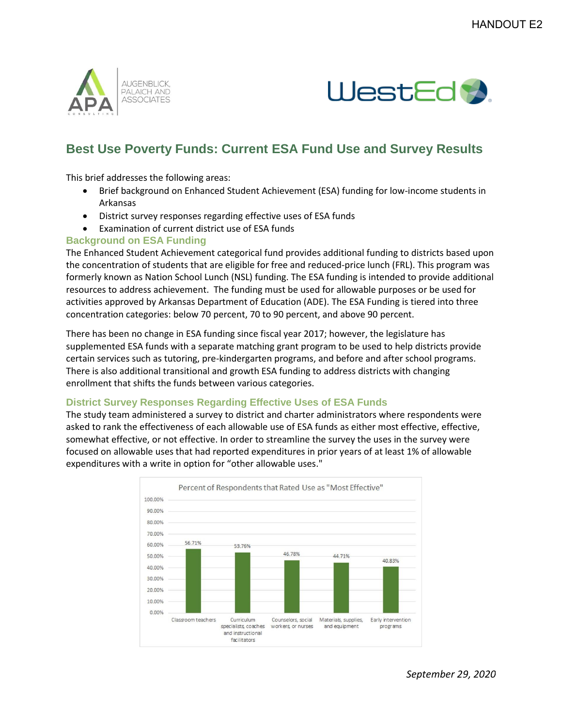



## **Best Use Poverty Funds: Current ESA Fund Use and Survey Results**

This brief addresses the following areas:

- Brief background on Enhanced Student Achievement (ESA) funding for low-income students in Arkansas
- District survey responses regarding effective uses of ESA funds
- Examination of current district use of ESA funds

## **Background on ESA Funding**

The Enhanced Student Achievement categorical fund provides additional funding to districts based upon the concentration of students that are eligible for free and reduced-price lunch (FRL). This program was formerly known as Nation School Lunch (NSL) funding. The ESA funding is intended to provide additional resources to address achievement. The funding must be used for allowable purposes or be used for activities approved by Arkansas Department of Education (ADE). The ESA Funding is tiered into three concentration categories: below 70 percent, 70 to 90 percent, and above 90 percent.

There has been no change in ESA funding since fiscal year 2017; however, the legislature has supplemented ESA funds with a separate matching grant program to be used to help districts provide certain services such as tutoring, pre-kindergarten programs, and before and after school programs. There is also additional transitional and growth ESA funding to address districts with changing enrollment that shifts the funds between various categories.

## **District Survey Responses Regarding Effective Uses of ESA Funds**

The study team administered a survey to district and charter administrators where respondents were asked to rank the effectiveness of each allowable use of ESA funds as either most effective, effective, somewhat effective, or not effective. In order to streamline the survey the uses in the survey were focused on allowable uses that had reported expenditures in prior years of at least 1% of allowable expenditures with a write in option for "other allowable uses."